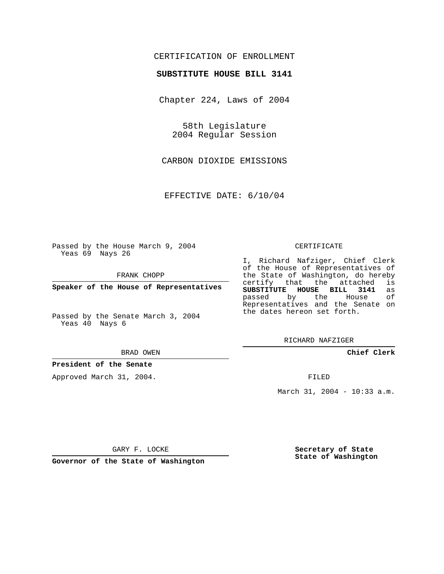## CERTIFICATION OF ENROLLMENT

### **SUBSTITUTE HOUSE BILL 3141**

Chapter 224, Laws of 2004

58th Legislature 2004 Regular Session

CARBON DIOXIDE EMISSIONS

EFFECTIVE DATE: 6/10/04

Passed by the House March 9, 2004 Yeas 69 Nays 26

FRANK CHOPP

**Speaker of the House of Representatives**

Passed by the Senate March 3, 2004 Yeas 40 Nays 6

#### BRAD OWEN

### **President of the Senate**

Approved March 31, 2004.

#### CERTIFICATE

I, Richard Nafziger, Chief Clerk of the House of Representatives of the State of Washington, do hereby<br>certify that the attached is certify that the attached **SUBSTITUTE HOUSE BILL 3141** as passed by the House Representatives and the Senate on the dates hereon set forth.

RICHARD NAFZIGER

**Chief Clerk**

FILED

March 31, 2004 - 10:33 a.m.

GARY F. LOCKE

**Governor of the State of Washington**

**Secretary of State State of Washington**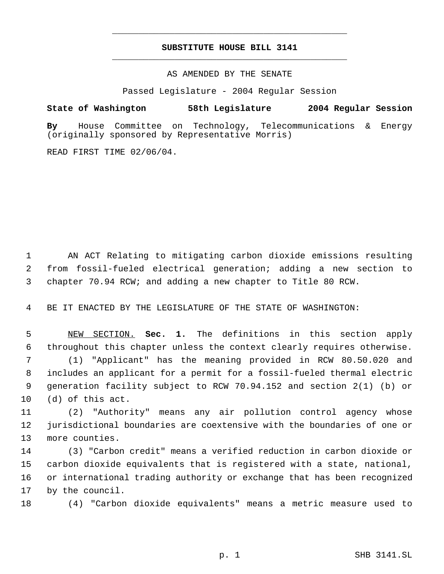# **SUBSTITUTE HOUSE BILL 3141** \_\_\_\_\_\_\_\_\_\_\_\_\_\_\_\_\_\_\_\_\_\_\_\_\_\_\_\_\_\_\_\_\_\_\_\_\_\_\_\_\_\_\_\_\_

\_\_\_\_\_\_\_\_\_\_\_\_\_\_\_\_\_\_\_\_\_\_\_\_\_\_\_\_\_\_\_\_\_\_\_\_\_\_\_\_\_\_\_\_\_

AS AMENDED BY THE SENATE

Passed Legislature - 2004 Regular Session

**State of Washington 58th Legislature 2004 Regular Session**

**By** House Committee on Technology, Telecommunications & Energy (originally sponsored by Representative Morris)

READ FIRST TIME 02/06/04.

 AN ACT Relating to mitigating carbon dioxide emissions resulting from fossil-fueled electrical generation; adding a new section to chapter 70.94 RCW; and adding a new chapter to Title 80 RCW.

BE IT ENACTED BY THE LEGISLATURE OF THE STATE OF WASHINGTON:

 NEW SECTION. **Sec. 1.** The definitions in this section apply throughout this chapter unless the context clearly requires otherwise. (1) "Applicant" has the meaning provided in RCW 80.50.020 and includes an applicant for a permit for a fossil-fueled thermal electric generation facility subject to RCW 70.94.152 and section 2(1) (b) or (d) of this act.

 (2) "Authority" means any air pollution control agency whose jurisdictional boundaries are coextensive with the boundaries of one or more counties.

 (3) "Carbon credit" means a verified reduction in carbon dioxide or carbon dioxide equivalents that is registered with a state, national, or international trading authority or exchange that has been recognized by the council.

(4) "Carbon dioxide equivalents" means a metric measure used to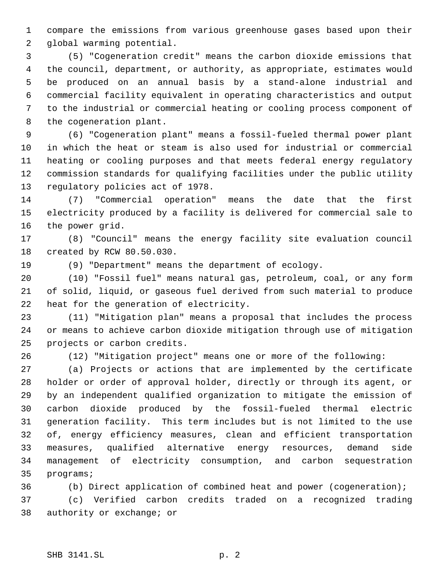compare the emissions from various greenhouse gases based upon their global warming potential.

 (5) "Cogeneration credit" means the carbon dioxide emissions that the council, department, or authority, as appropriate, estimates would be produced on an annual basis by a stand-alone industrial and commercial facility equivalent in operating characteristics and output to the industrial or commercial heating or cooling process component of the cogeneration plant.

 (6) "Cogeneration plant" means a fossil-fueled thermal power plant in which the heat or steam is also used for industrial or commercial heating or cooling purposes and that meets federal energy regulatory commission standards for qualifying facilities under the public utility regulatory policies act of 1978.

 (7) "Commercial operation" means the date that the first electricity produced by a facility is delivered for commercial sale to the power grid.

 (8) "Council" means the energy facility site evaluation council created by RCW 80.50.030.

(9) "Department" means the department of ecology.

 (10) "Fossil fuel" means natural gas, petroleum, coal, or any form of solid, liquid, or gaseous fuel derived from such material to produce heat for the generation of electricity.

 (11) "Mitigation plan" means a proposal that includes the process or means to achieve carbon dioxide mitigation through use of mitigation projects or carbon credits.

(12) "Mitigation project" means one or more of the following:

 (a) Projects or actions that are implemented by the certificate holder or order of approval holder, directly or through its agent, or by an independent qualified organization to mitigate the emission of carbon dioxide produced by the fossil-fueled thermal electric generation facility. This term includes but is not limited to the use of, energy efficiency measures, clean and efficient transportation measures, qualified alternative energy resources, demand side management of electricity consumption, and carbon sequestration programs;

 (b) Direct application of combined heat and power (cogeneration); (c) Verified carbon credits traded on a recognized trading authority or exchange; or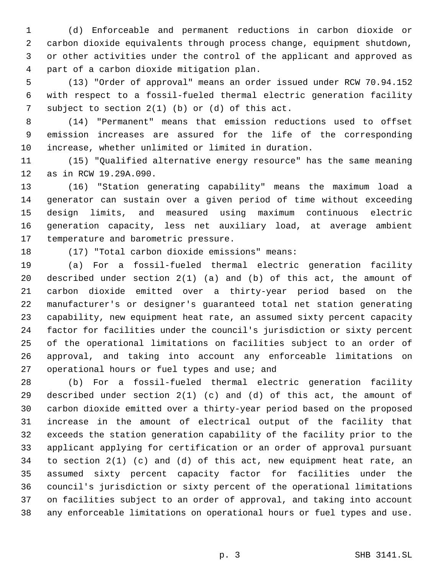(d) Enforceable and permanent reductions in carbon dioxide or carbon dioxide equivalents through process change, equipment shutdown, or other activities under the control of the applicant and approved as part of a carbon dioxide mitigation plan.

 (13) "Order of approval" means an order issued under RCW 70.94.152 with respect to a fossil-fueled thermal electric generation facility subject to section 2(1) (b) or (d) of this act.

 (14) "Permanent" means that emission reductions used to offset emission increases are assured for the life of the corresponding increase, whether unlimited or limited in duration.

 (15) "Qualified alternative energy resource" has the same meaning as in RCW 19.29A.090.

 (16) "Station generating capability" means the maximum load a generator can sustain over a given period of time without exceeding design limits, and measured using maximum continuous electric generation capacity, less net auxiliary load, at average ambient temperature and barometric pressure.

## (17) "Total carbon dioxide emissions" means:

 (a) For a fossil-fueled thermal electric generation facility described under section 2(1) (a) and (b) of this act, the amount of carbon dioxide emitted over a thirty-year period based on the manufacturer's or designer's guaranteed total net station generating capability, new equipment heat rate, an assumed sixty percent capacity factor for facilities under the council's jurisdiction or sixty percent of the operational limitations on facilities subject to an order of approval, and taking into account any enforceable limitations on operational hours or fuel types and use; and

 (b) For a fossil-fueled thermal electric generation facility described under section 2(1) (c) and (d) of this act, the amount of carbon dioxide emitted over a thirty-year period based on the proposed increase in the amount of electrical output of the facility that exceeds the station generation capability of the facility prior to the applicant applying for certification or an order of approval pursuant to section 2(1) (c) and (d) of this act, new equipment heat rate, an assumed sixty percent capacity factor for facilities under the council's jurisdiction or sixty percent of the operational limitations on facilities subject to an order of approval, and taking into account any enforceable limitations on operational hours or fuel types and use.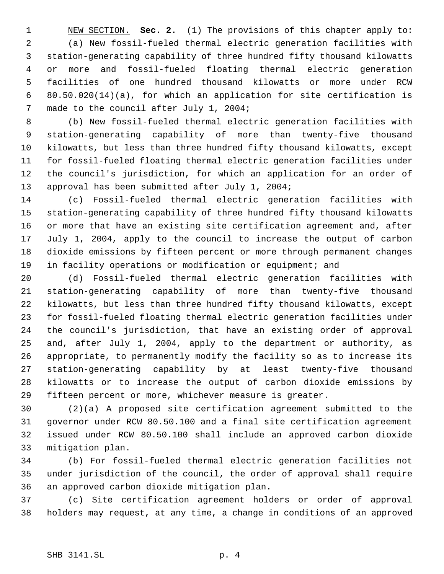NEW SECTION. **Sec. 2.** (1) The provisions of this chapter apply to: (a) New fossil-fueled thermal electric generation facilities with station-generating capability of three hundred fifty thousand kilowatts or more and fossil-fueled floating thermal electric generation facilities of one hundred thousand kilowatts or more under RCW 80.50.020(14)(a), for which an application for site certification is made to the council after July 1, 2004;

 (b) New fossil-fueled thermal electric generation facilities with station-generating capability of more than twenty-five thousand kilowatts, but less than three hundred fifty thousand kilowatts, except for fossil-fueled floating thermal electric generation facilities under the council's jurisdiction, for which an application for an order of approval has been submitted after July 1, 2004;

 (c) Fossil-fueled thermal electric generation facilities with station-generating capability of three hundred fifty thousand kilowatts or more that have an existing site certification agreement and, after July 1, 2004, apply to the council to increase the output of carbon dioxide emissions by fifteen percent or more through permanent changes in facility operations or modification or equipment; and

 (d) Fossil-fueled thermal electric generation facilities with station-generating capability of more than twenty-five thousand kilowatts, but less than three hundred fifty thousand kilowatts, except for fossil-fueled floating thermal electric generation facilities under the council's jurisdiction, that have an existing order of approval and, after July 1, 2004, apply to the department or authority, as appropriate, to permanently modify the facility so as to increase its station-generating capability by at least twenty-five thousand kilowatts or to increase the output of carbon dioxide emissions by fifteen percent or more, whichever measure is greater.

 (2)(a) A proposed site certification agreement submitted to the governor under RCW 80.50.100 and a final site certification agreement issued under RCW 80.50.100 shall include an approved carbon dioxide mitigation plan.

 (b) For fossil-fueled thermal electric generation facilities not under jurisdiction of the council, the order of approval shall require an approved carbon dioxide mitigation plan.

 (c) Site certification agreement holders or order of approval holders may request, at any time, a change in conditions of an approved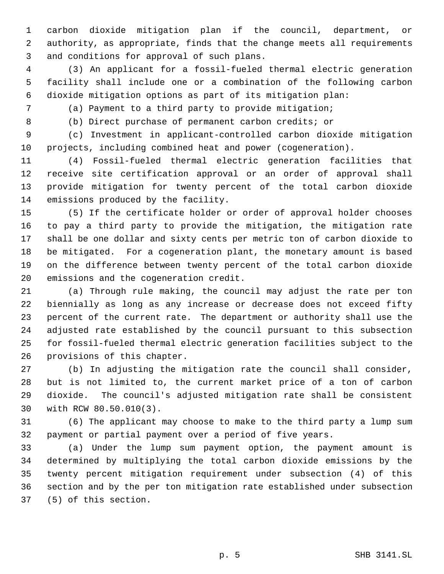carbon dioxide mitigation plan if the council, department, or authority, as appropriate, finds that the change meets all requirements and conditions for approval of such plans.

 (3) An applicant for a fossil-fueled thermal electric generation facility shall include one or a combination of the following carbon dioxide mitigation options as part of its mitigation plan:

- 
- 

(a) Payment to a third party to provide mitigation;

(b) Direct purchase of permanent carbon credits; or

 (c) Investment in applicant-controlled carbon dioxide mitigation projects, including combined heat and power (cogeneration).

 (4) Fossil-fueled thermal electric generation facilities that receive site certification approval or an order of approval shall provide mitigation for twenty percent of the total carbon dioxide emissions produced by the facility.

 (5) If the certificate holder or order of approval holder chooses to pay a third party to provide the mitigation, the mitigation rate shall be one dollar and sixty cents per metric ton of carbon dioxide to be mitigated. For a cogeneration plant, the monetary amount is based on the difference between twenty percent of the total carbon dioxide emissions and the cogeneration credit.

 (a) Through rule making, the council may adjust the rate per ton biennially as long as any increase or decrease does not exceed fifty percent of the current rate. The department or authority shall use the adjusted rate established by the council pursuant to this subsection for fossil-fueled thermal electric generation facilities subject to the provisions of this chapter.

 (b) In adjusting the mitigation rate the council shall consider, but is not limited to, the current market price of a ton of carbon dioxide. The council's adjusted mitigation rate shall be consistent with RCW 80.50.010(3).

 (6) The applicant may choose to make to the third party a lump sum payment or partial payment over a period of five years.

 (a) Under the lump sum payment option, the payment amount is determined by multiplying the total carbon dioxide emissions by the twenty percent mitigation requirement under subsection (4) of this section and by the per ton mitigation rate established under subsection (5) of this section.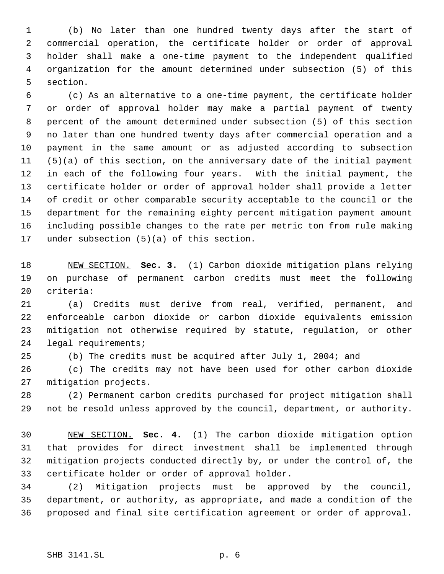(b) No later than one hundred twenty days after the start of commercial operation, the certificate holder or order of approval holder shall make a one-time payment to the independent qualified organization for the amount determined under subsection (5) of this section.

 (c) As an alternative to a one-time payment, the certificate holder or order of approval holder may make a partial payment of twenty percent of the amount determined under subsection (5) of this section no later than one hundred twenty days after commercial operation and a payment in the same amount or as adjusted according to subsection (5)(a) of this section, on the anniversary date of the initial payment in each of the following four years. With the initial payment, the certificate holder or order of approval holder shall provide a letter of credit or other comparable security acceptable to the council or the department for the remaining eighty percent mitigation payment amount including possible changes to the rate per metric ton from rule making under subsection (5)(a) of this section.

 NEW SECTION. **Sec. 3.** (1) Carbon dioxide mitigation plans relying on purchase of permanent carbon credits must meet the following criteria:

 (a) Credits must derive from real, verified, permanent, and enforceable carbon dioxide or carbon dioxide equivalents emission mitigation not otherwise required by statute, regulation, or other legal requirements;

(b) The credits must be acquired after July 1, 2004; and

 (c) The credits may not have been used for other carbon dioxide mitigation projects.

 (2) Permanent carbon credits purchased for project mitigation shall not be resold unless approved by the council, department, or authority.

 NEW SECTION. **Sec. 4.** (1) The carbon dioxide mitigation option that provides for direct investment shall be implemented through mitigation projects conducted directly by, or under the control of, the certificate holder or order of approval holder.

 (2) Mitigation projects must be approved by the council, department, or authority, as appropriate, and made a condition of the proposed and final site certification agreement or order of approval.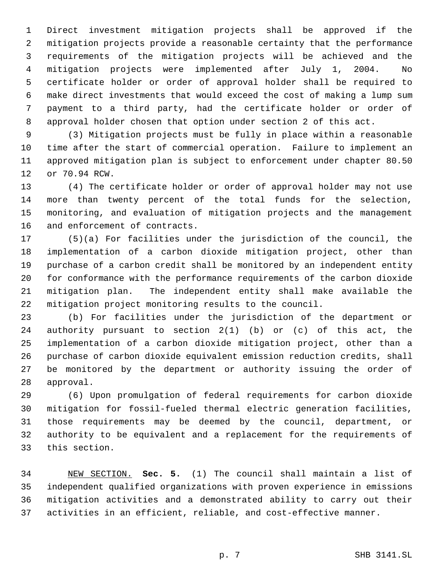Direct investment mitigation projects shall be approved if the mitigation projects provide a reasonable certainty that the performance requirements of the mitigation projects will be achieved and the mitigation projects were implemented after July 1, 2004. No certificate holder or order of approval holder shall be required to make direct investments that would exceed the cost of making a lump sum payment to a third party, had the certificate holder or order of approval holder chosen that option under section 2 of this act.

 (3) Mitigation projects must be fully in place within a reasonable time after the start of commercial operation. Failure to implement an approved mitigation plan is subject to enforcement under chapter 80.50 or 70.94 RCW.

 (4) The certificate holder or order of approval holder may not use more than twenty percent of the total funds for the selection, monitoring, and evaluation of mitigation projects and the management and enforcement of contracts.

 (5)(a) For facilities under the jurisdiction of the council, the implementation of a carbon dioxide mitigation project, other than purchase of a carbon credit shall be monitored by an independent entity for conformance with the performance requirements of the carbon dioxide mitigation plan. The independent entity shall make available the mitigation project monitoring results to the council.

 (b) For facilities under the jurisdiction of the department or authority pursuant to section 2(1) (b) or (c) of this act, the implementation of a carbon dioxide mitigation project, other than a purchase of carbon dioxide equivalent emission reduction credits, shall be monitored by the department or authority issuing the order of approval.

 (6) Upon promulgation of federal requirements for carbon dioxide mitigation for fossil-fueled thermal electric generation facilities, those requirements may be deemed by the council, department, or authority to be equivalent and a replacement for the requirements of this section.

 NEW SECTION. **Sec. 5.** (1) The council shall maintain a list of independent qualified organizations with proven experience in emissions mitigation activities and a demonstrated ability to carry out their activities in an efficient, reliable, and cost-effective manner.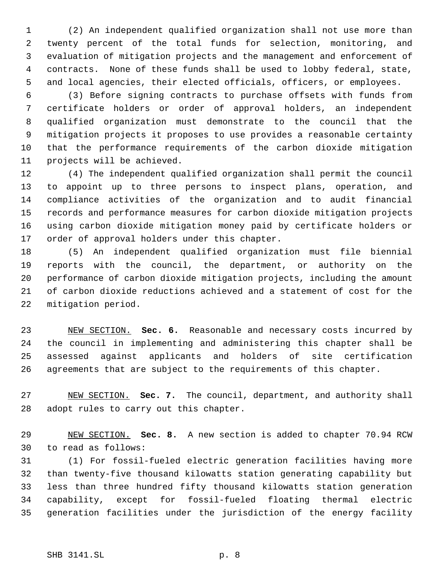(2) An independent qualified organization shall not use more than twenty percent of the total funds for selection, monitoring, and evaluation of mitigation projects and the management and enforcement of contracts. None of these funds shall be used to lobby federal, state, and local agencies, their elected officials, officers, or employees.

 (3) Before signing contracts to purchase offsets with funds from certificate holders or order of approval holders, an independent qualified organization must demonstrate to the council that the mitigation projects it proposes to use provides a reasonable certainty that the performance requirements of the carbon dioxide mitigation projects will be achieved.

 (4) The independent qualified organization shall permit the council to appoint up to three persons to inspect plans, operation, and compliance activities of the organization and to audit financial records and performance measures for carbon dioxide mitigation projects using carbon dioxide mitigation money paid by certificate holders or order of approval holders under this chapter.

 (5) An independent qualified organization must file biennial reports with the council, the department, or authority on the performance of carbon dioxide mitigation projects, including the amount of carbon dioxide reductions achieved and a statement of cost for the mitigation period.

 NEW SECTION. **Sec. 6.** Reasonable and necessary costs incurred by the council in implementing and administering this chapter shall be assessed against applicants and holders of site certification agreements that are subject to the requirements of this chapter.

 NEW SECTION. **Sec. 7.** The council, department, and authority shall adopt rules to carry out this chapter.

 NEW SECTION. **Sec. 8.** A new section is added to chapter 70.94 RCW to read as follows:

 (1) For fossil-fueled electric generation facilities having more than twenty-five thousand kilowatts station generating capability but less than three hundred fifty thousand kilowatts station generation capability, except for fossil-fueled floating thermal electric generation facilities under the jurisdiction of the energy facility